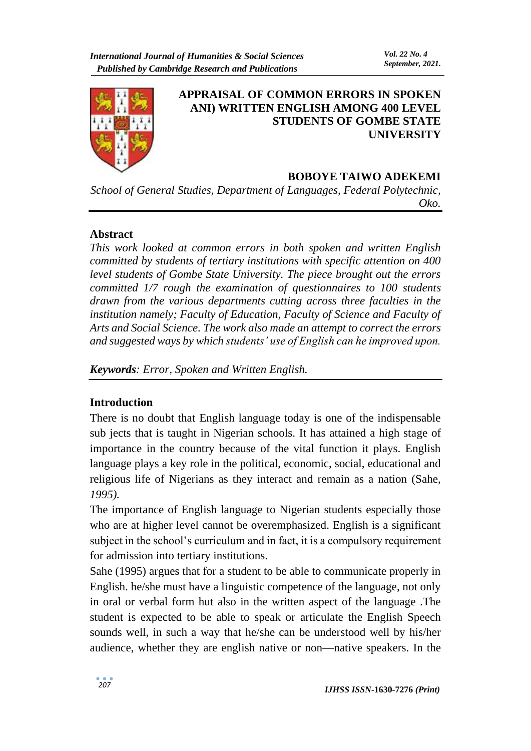

### **APPRAISAL OF COMMON ERRORS IN SPOKEN ANI) WRITTEN ENGLISH AMONG 400 LEVEL STUDENTS OF GOMBE STATE UNIVERSITY**

#### **BOBOYE TAIWO ADEKEMI**

*School of General Studies, Department of Languages, Federal Polytechnic, Oko.*

#### **Abstract**

*This work looked at common errors in both spoken and written English committed by students of tertiary institutions with specific attention on 400 level students of Gombe State University. The piece brought out the errors committed 1/7 rough the examination of questionnaires to 100 students drawn from the various departments cutting across three faculties in the institution namely; Faculty of Education, Faculty of Science and Faculty of Arts and Social Science. The work also made an attempt to correct the errors and suggested ways by which students' use of English can he improved upon.* 

*Keywords: Error, Spoken and Written English.* 

### **Introduction**

There is no doubt that English language today is one of the indispensable sub jects that is taught in Nigerian schools. It has attained a high stage of importance in the country because of the vital function it plays. English language plays a key role in the political, economic, social, educational and religious life of Nigerians as they interact and remain as a nation (Sahe, *1995).* 

The importance of English language to Nigerian students especially those who are at higher level cannot be overemphasized. English is a significant subject in the school's curriculum and in fact, it is a compulsory requirement for admission into tertiary institutions.

Sahe (1995) argues that for a student to be able to communicate properly in English. he/she must have a linguistic competence of the language, not only in oral or verbal form hut also in the written aspect of the language .The student is expected to be able to speak or articulate the English Speech sounds well, in such a way that he/she can be understood well by his/her audience, whether they are english native or non—native speakers. In the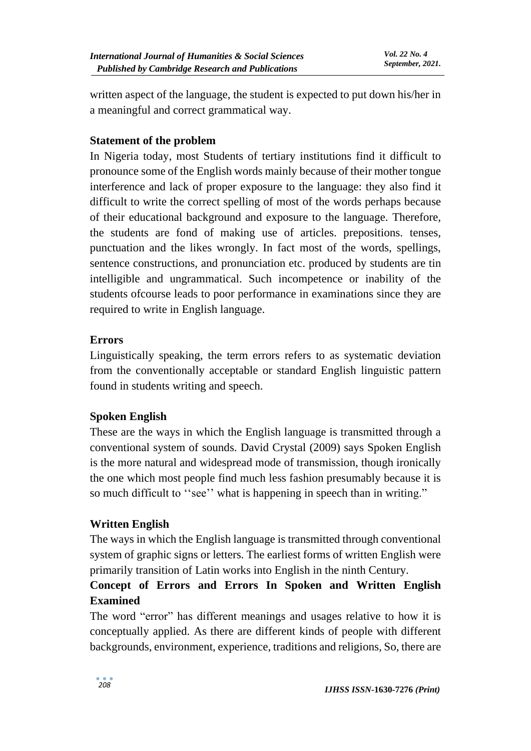written aspect of the language, the student is expected to put down his/her in a meaningful and correct grammatical way.

## **Statement of the problem**

In Nigeria today, most Students of tertiary institutions find it difficult to pronounce some of the English words mainly because of their mother tongue interference and lack of proper exposure to the language: they also find it difficult to write the correct spelling of most of the words perhaps because of their educational background and exposure to the language. Therefore, the students are fond of making use of articles. prepositions. tenses, punctuation and the likes wrongly. In fact most of the words, spellings, sentence constructions, and pronunciation etc. produced by students are tin intelligible and ungrammatical. Such incompetence or inability of the students ofcourse leads to poor performance in examinations since they are required to write in English language.

## **Errors**

Linguistically speaking, the term errors refers to as systematic deviation from the conventionally acceptable or standard English linguistic pattern found in students writing and speech.

### **Spoken English**

These are the ways in which the English language is transmitted through a conventional system of sounds. David Crystal (2009) says Spoken English is the more natural and widespread mode of transmission, though ironically the one which most people find much less fashion presumably because it is so much difficult to ''see'' what is happening in speech than in writing."

## **Written English**

The ways in which the English language is transmitted through conventional system of graphic signs or letters. The earliest forms of written English were primarily transition of Latin works into English in the ninth Century.

# **Concept of Errors and Errors In Spoken and Written English Examined**

The word "error" has different meanings and usages relative to how it is conceptually applied. As there are different kinds of people with different backgrounds, environment, experience, traditions and religions*,* So, there are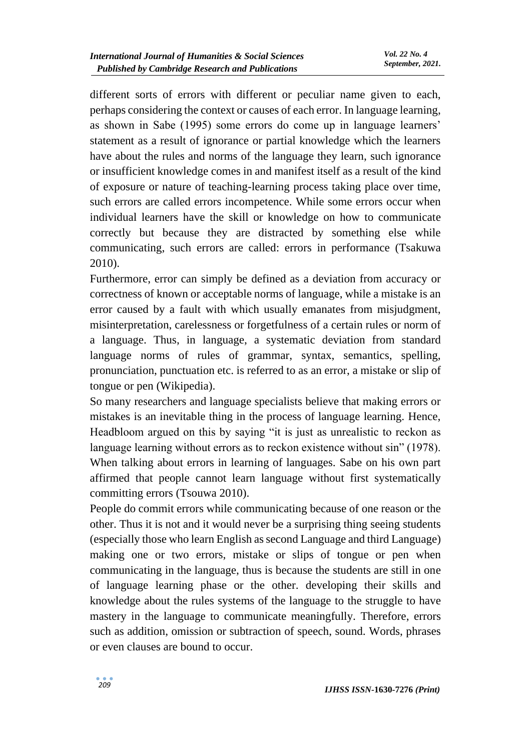different sorts of errors with different or peculiar name given to each, perhaps considering the context or causes of each error. In language learning, as shown in Sabe (1995) some errors do come up in language learners' statement as a result of ignorance or partial knowledge which the learners have about the rules and norms of the language they learn, such ignorance or insufficient knowledge comes in and manifest itself as a result of the kind of exposure or nature of teaching-learning process taking place over time, such errors are called errors incompetence. While some errors occur when individual learners have the skill or knowledge on how to communicate correctly but because they are distracted by something else while communicating, such errors are called: errors in performance (Tsakuwa 2010).

Furthermore, error can simply be defined as a deviation from accuracy or correctness of known or acceptable norms of language, while a mistake is an error caused by a fault with which usually emanates from misjudgment, misinterpretation, carelessness or forgetfulness of a certain rules or norm of a language. Thus, in language, a systematic deviation from standard language norms of rules of grammar, syntax, semantics, spelling, pronunciation, punctuation etc. is referred to as an error, a mistake or slip of tongue or pen (Wikipedia).

So many researchers and language specialists believe that making errors or mistakes is an inevitable thing in the process of language learning. Hence, Headbloom argued on this by saying "it is just as unrealistic to reckon as language learning without errors as to reckon existence without sin" (1978). When talking about errors in learning of languages. Sabe on his own part affirmed that people cannot learn language without first systematically committing errors (Tsouwa 2010).

People do commit errors while communicating because of one reason or the other. Thus it is not and it would never be a surprising thing seeing students (especially those who learn English as second Language and third Language) making one or two errors, mistake or slips of tongue or pen when communicating in the language, thus is because the students are still in one of language learning phase or the other. developing their skills and knowledge about the rules systems of the language to the struggle to have mastery in the language to communicate meaningfully. Therefore, errors such as addition, omission or subtraction of speech, sound. Words, phrases or even clauses are bound to occur.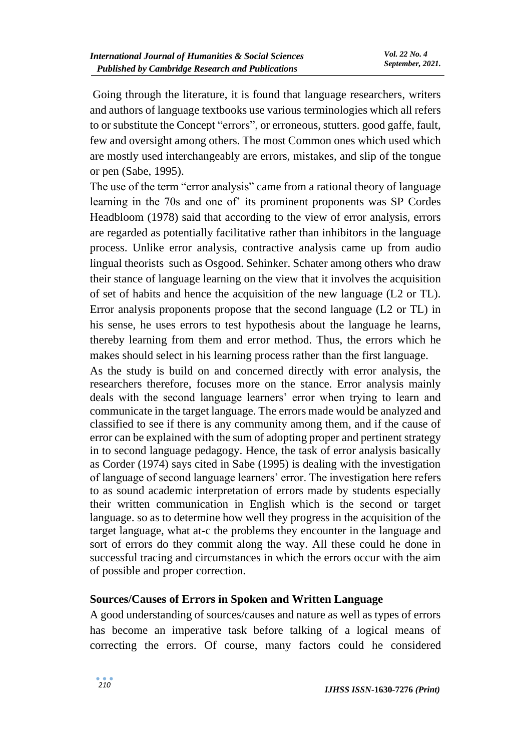Going through the literature, it is found that language researchers, writers and authors of language textbooks use various terminologies which all refers to or substitute the Concept "errors", or erroneous, stutters. good gaffe, fault, few and oversight among others. The most Common ones which used which are mostly used interchangeably are errors, mistakes, and slip of the tongue or pen (Sabe, 1995).

The use of the term "error analysis" came from a rational theory of language learning in the 70s and one of' its prominent proponents was SP Cordes Headbloom (1978) said that according to the view of error analysis, errors are regarded as potentially facilitative rather than inhibitors in the language process. Unlike error analysis, contractive analysis came up from audio lingual theorists such as Osgood. Sehinker. Schater among others who draw their stance of language learning on the view that it involves the acquisition of set of habits and hence the acquisition of the new language (L2 or TL). Error analysis proponents propose that the second language (L2 or TL) in his sense, he uses errors to test hypothesis about the language he learns, thereby learning from them and error method. Thus, the errors which he makes should select in his learning process rather than the first language.

As the study is build on and concerned directly with error analysis, the researchers therefore, focuses more on the stance. Error analysis mainly deals with the second language learners' error when trying to learn and communicate in the target language. The errors made would be analyzed and classified to see if there is any community among them, and if the cause of error can be explained with the sum of adopting proper and pertinent strategy in to second language pedagogy. Hence, the task of error analysis basically as Corder (1974) says cited in Sabe (1995) is dealing with the investigation of language of second language learners' error. The investigation here refers to as sound academic interpretation of errors made by students especially their written communication in English which is the second or target language. so as to determine how well they progress in the acquisition of the target language, what at-c the problems they encounter in the language and sort of errors do they commit along the way. All these could he done in successful tracing and circumstances in which the errors occur with the aim of possible and proper correction.

### **Sources/Causes of Errors in Spoken and Written Language**

A good understanding of sources/causes and nature as well as types of errors has become an imperative task before talking of a logical means of correcting the errors. Of course, many factors could he considered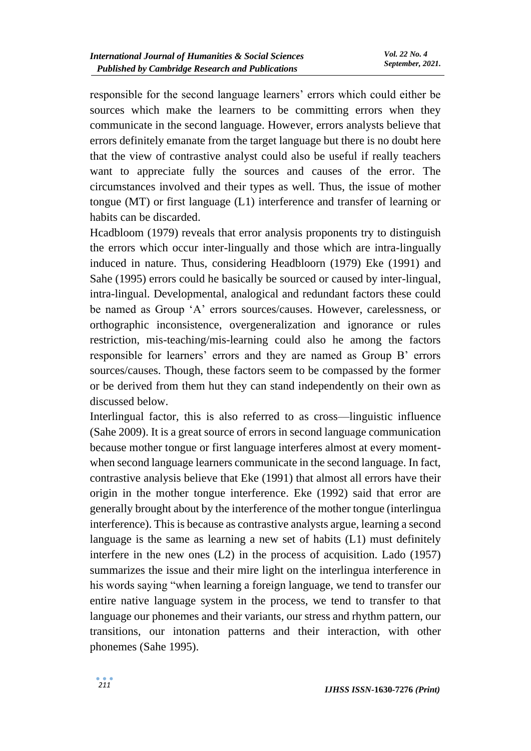responsible for the second language learners' errors which could either be sources which make the learners to be committing errors when they communicate in the second language. However, errors analysts believe that errors definitely emanate from the target language but there is no doubt here that the view of contrastive analyst could also be useful if really teachers want to appreciate fully the sources and causes of the error. The circumstances involved and their types as well. Thus, the issue of mother tongue (MT) or first language (L1) interference and transfer of learning or habits can be discarded.

Hcadbloom (1979) reveals that error analysis proponents try to distinguish the errors which occur inter-lingually and those which are intra-lingually induced in nature. Thus, considering Headbloorn (1979) Eke (1991) and Sahe (1995) errors could he basically be sourced or caused by inter-lingual, intra-lingual. Developmental, analogical and redundant factors these could be named as Group 'A' errors sources/causes. However, carelessness, or orthographic inconsistence, overgeneralization and ignorance or rules restriction, mis-teaching/mis-learning could also he among the factors responsible for learners' errors and they are named as Group B' errors sources/causes. Though, these factors seem to be compassed by the former or be derived from them hut they can stand independently on their own as discussed below.

Interlingual factor, this is also referred to as cross—linguistic influence (Sahe 2009). It is a great source of errors in second language communication because mother tongue or first language interferes almost at every momentwhen second language learners communicate in the second language. In fact, contrastive analysis believe that Eke (1991) that almost all errors have their origin in the mother tongue interference. Eke (1992) said that error are generally brought about by the interference of the mother tongue (interlingua interference). This is because as contrastive analysts argue, learning a second language is the same as learning a new set of habits (L1) must definitely interfere in the new ones (L2) in the process of acquisition. Lado (1957) summarizes the issue and their mire light on the interlingua interference in his words saying "when learning a foreign language, we tend to transfer our entire native language system in the process, we tend to transfer to that language our phonemes and their variants, our stress and rhythm pattern, our transitions, our intonation patterns and their interaction, with other phonemes (Sahe 1995).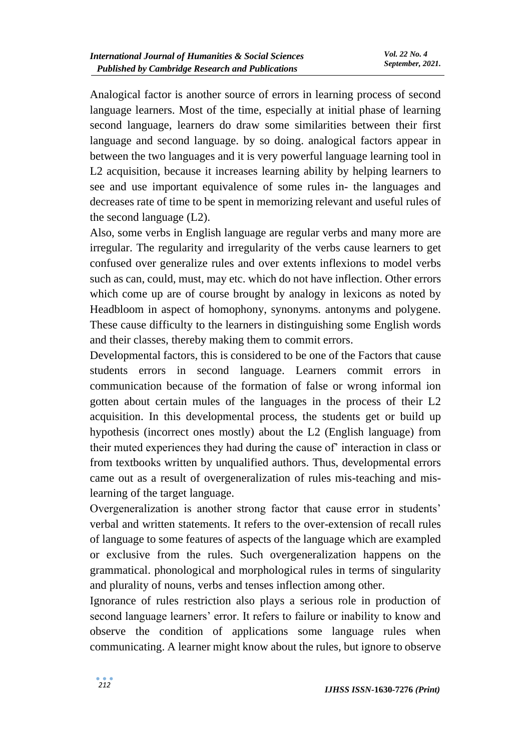Analogical factor is another source of errors in learning process of second language learners. Most of the time, especially at initial phase of learning second language, learners do draw some similarities between their first language and second language. by so doing. analogical factors appear in between the two languages and it is very powerful language learning tool in L2 acquisition, because it increases learning ability by helping learners to see and use important equivalence of some rules in- the languages and decreases rate of time to be spent in memorizing relevant and useful rules of the second language (L2).

Also, some verbs in English language are regular verbs and many more are irregular. The regularity and irregularity of the verbs cause learners to get confused over generalize rules and over extents inflexions to model verbs such as can, could, must, may etc. which do not have inflection. Other errors which come up are of course brought by analogy in lexicons as noted by Headbloom in aspect of homophony, synonyms. antonyms and polygene. These cause difficulty to the learners in distinguishing some English words and their classes, thereby making them to commit errors.

Developmental factors, this is considered to be one of the Factors that cause students errors in second language. Learners commit errors in communication because of the formation of false or wrong informal ion gotten about certain mules of the languages in the process of their L2 acquisition. In this developmental process, the students get or build up hypothesis (incorrect ones mostly) about the L2 (English language) from their muted experiences they had during the cause of' interaction in class or from textbooks written by unqualified authors. Thus, developmental errors came out as a result of overgeneralization of rules mis-teaching and mislearning of the target language.

Overgeneralization is another strong factor that cause error in students' verbal and written statements. It refers to the over-extension of recall rules of language to some features of aspects of the language which are exampled or exclusive from the rules. Such overgeneralization happens on the grammatical. phonological and morphological rules in terms of singularity and plurality of nouns, verbs and tenses inflection among other.

Ignorance of rules restriction also plays a serious role in production of second language learners' error. It refers to failure or inability to know and observe the condition of applications some language rules when communicating. A learner might know about the rules, but ignore to observe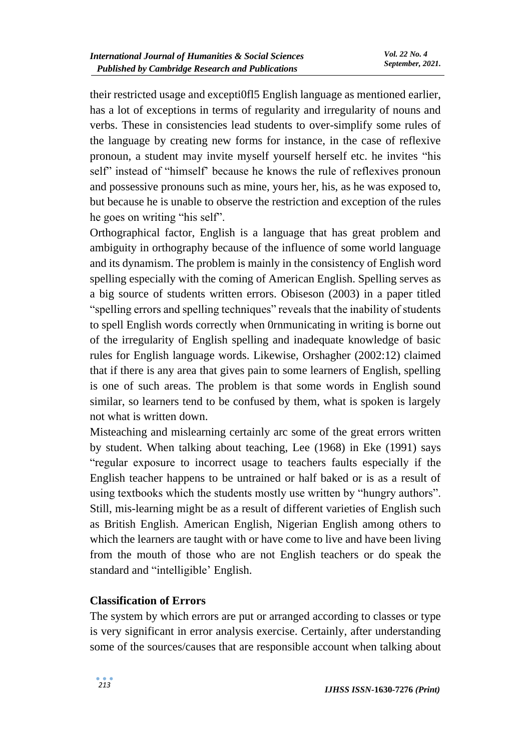their restricted usage and excepti0fl5 English language as mentioned earlier, has a lot of exceptions in terms of regularity and irregularity of nouns and verbs. These in consistencies lead students to over-simplify some rules of the language by creating new forms for instance, in the case of reflexive pronoun, a student may invite myself yourself herself etc. he invites "his self" instead of "himself' because he knows the rule of reflexives pronoun and possessive pronouns such as mine, yours her, his, as he was exposed to, but because he is unable to observe the restriction and exception of the rules he goes on writing "his self".

Orthographical factor, English is a language that has great problem and ambiguity in orthography because of the influence of some world language and its dynamism. The problem is mainly in the consistency of English word spelling especially with the coming of American English. Spelling serves as a big source of students written errors. Obiseson (2003) in a paper titled "spelling errors and spelling techniques" reveals that the inability of students to spell English words correctly when 0rnmunicating in writing is borne out of the irregularity of English spelling and inadequate knowledge of basic rules for English language words. Likewise, Orshagher (2002:12) claimed that if there is any area that gives pain to some learners of English, spelling is one of such areas. The problem is that some words in English sound similar, so learners tend to be confused by them, what is spoken is largely not what is written down.

Misteaching and mislearning certainly arc some of the great errors written by student. When talking about teaching, Lee (1968) in Eke (1991) says "regular exposure to incorrect usage to teachers faults especially if the English teacher happens to be untrained or half baked or is as a result of using textbooks which the students mostly use written by "hungry authors". Still, mis-learning might be as a result of different varieties of English such as British English. American English, Nigerian English among others to which the learners are taught with or have come to live and have been living from the mouth of those who are not English teachers or do speak the standard and "intelligible' English.

### **Classification of Errors**

The system by which errors are put or arranged according to classes or type is very significant in error analysis exercise. Certainly, after understanding some of the sources/causes that are responsible account when talking about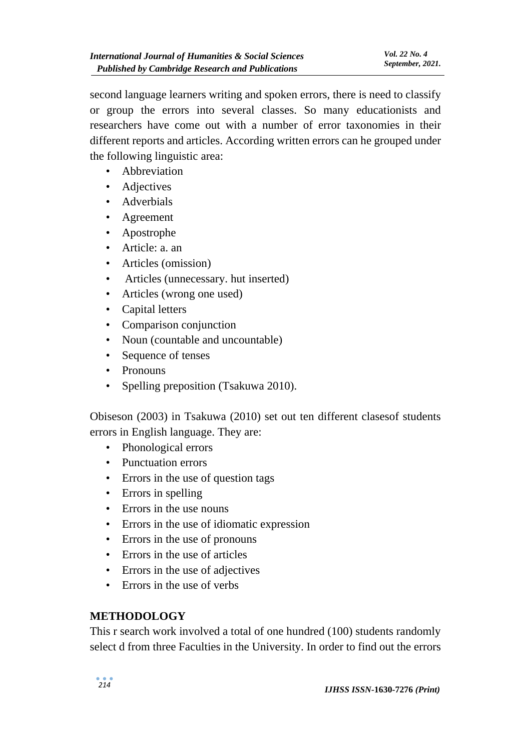second language learners writing and spoken errors, there is need to classify or group the errors into several classes. So many educationists and researchers have come out with a number of error taxonomies in their different reports and articles. According written errors can he grouped under the following linguistic area:

- Abbreviation
- Adjectives
- Adverbials
- Agreement
- Apostrophe
- Article: a. an
- Articles (omission)
- Articles (unnecessary. hut inserted)
- Articles (wrong one used)
- Capital letters
- Comparison conjunction
- Noun (countable and uncountable)
- Sequence of tenses
- Pronouns
- Spelling preposition (Tsakuwa 2010).

Obiseson (2003) in Tsakuwa (2010) set out ten different clasesof students errors in English language. They are:

- Phonological errors
- Punctuation errors
- Errors in the use of question tags
- Errors in spelling
- Errors in the use nouns
- Errors in the use of idiomatic expression
- Errors in the use of pronouns
- Errors in the use of articles
- Errors in the use of adjectives
- Errors in the use of verbs

### **METHODOLOGY**

This r search work involved a total of one hundred (100) students randomly select d from three Faculties in the University. In order to find out the errors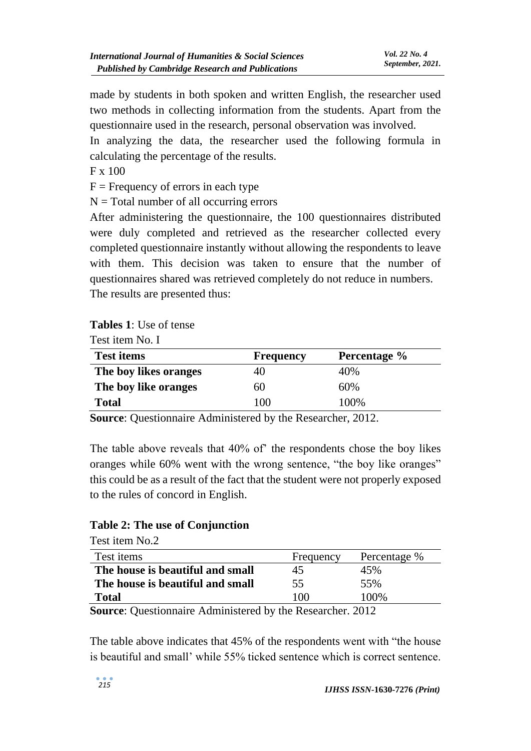made by students in both spoken and written English, the researcher used two methods in collecting information from the students. Apart from the questionnaire used in the research, personal observation was involved.

In analyzing the data, the researcher used the following formula in calculating the percentage of the results.

F x 100

 $F =$  Frequency of errors in each type

 $N = Total number of all occurring errors$ 

After administering the questionnaire, the 100 questionnaires distributed were duly completed and retrieved as the researcher collected every completed questionnaire instantly without allowing the respondents to leave with them. This decision was taken to ensure that the number of questionnaires shared was retrieved completely do not reduce in numbers. The results are presented thus:

| Test item No. I       |                  |              |
|-----------------------|------------------|--------------|
| <b>Test items</b>     | <b>Frequency</b> | Percentage % |
| The boy likes oranges | 40               | 40%          |
| The boy like oranges  | 60               | 60%          |
| <b>Total</b>          | 100              | 100%         |

**Tables 1**: Use of tense

**Source**: Questionnaire Administered by the Researcher, 2012.

The table above reveals that 40% of' the respondents chose the boy likes oranges while 60% went with the wrong sentence, "the boy like oranges" this could be as a result of the fact that the student were not properly exposed to the rules of concord in English.

### **Table 2: The use of Conjunction**

| Test item No.2                   |           |              |
|----------------------------------|-----------|--------------|
| Test items                       | Frequency | Percentage % |
| The house is beautiful and small | 45        | 45%          |
| The house is beautiful and small | 55        | 55%          |
| <b>Total</b>                     | 100       | 100%         |

**Source**: Questionnaire Administered by the Researcher. 2012

The table above indicates that 45% of the respondents went with "the house is beautiful and small' while 55% ticked sentence which is correct sentence.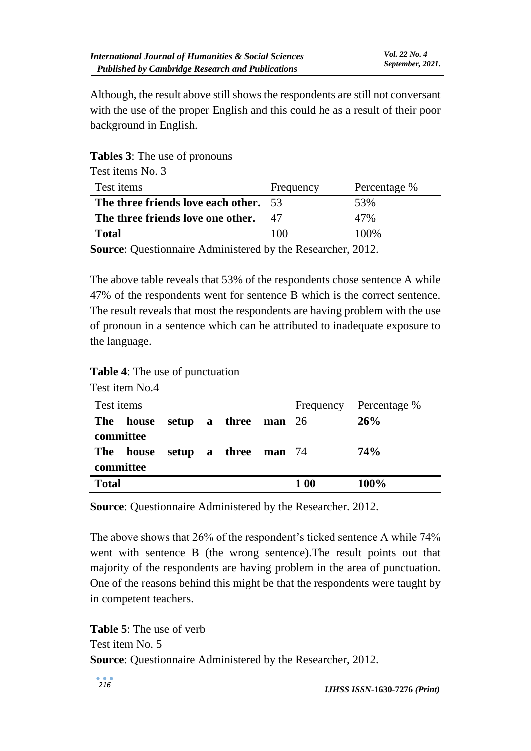Although, the result above still shows the respondents are still not conversant with the use of the proper English and this could he as a result of their poor background in English.

| Test items<br>Percentage %<br>Frequency<br>The three friends love each other. 53<br>53%<br>The three friends love one other.<br>47%<br>100\%<br><b>Total</b><br>100 | Test items No. 3 |  |  |  |  |  |  |
|---------------------------------------------------------------------------------------------------------------------------------------------------------------------|------------------|--|--|--|--|--|--|
|                                                                                                                                                                     |                  |  |  |  |  |  |  |
|                                                                                                                                                                     |                  |  |  |  |  |  |  |
|                                                                                                                                                                     |                  |  |  |  |  |  |  |
|                                                                                                                                                                     |                  |  |  |  |  |  |  |

**Tables 3**: The use of pronouns

**Source**: Questionnaire Administered by the Researcher, 2012.

The above table reveals that 53% of the respondents chose sentence A while 47% of the respondents went for sentence B which is the correct sentence. The result reveals that most the respondents are having problem with the use of pronoun in a sentence which can he attributed to inadequate exposure to the language.

**Table 4**: The use of punctuation

Test item No.4

| Test items<br>Frequency Percentage % |       |                      |  |  |               |            |            |
|--------------------------------------|-------|----------------------|--|--|---------------|------------|------------|
| The                                  | house | setup a three man 26 |  |  |               |            | 26%        |
| committee                            |       |                      |  |  |               |            |            |
| <b>The</b>                           | house | setup a three        |  |  | <b>man</b> 74 |            | <b>74%</b> |
| committee                            |       |                      |  |  |               |            |            |
| <b>Total</b>                         |       |                      |  |  |               | <b>100</b> | 100%       |

**Source**: Questionnaire Administered by the Researcher. 2012.

The above shows that 26% of the respondent's ticked sentence A while 74% went with sentence B (the wrong sentence).The result points out that majority of the respondents are having problem in the area of punctuation. One of the reasons behind this might be that the respondents were taught by in competent teachers.

**Table 5**: The use of verb Test item No. 5 **Source**: Questionnaire Administered by the Researcher, 2012.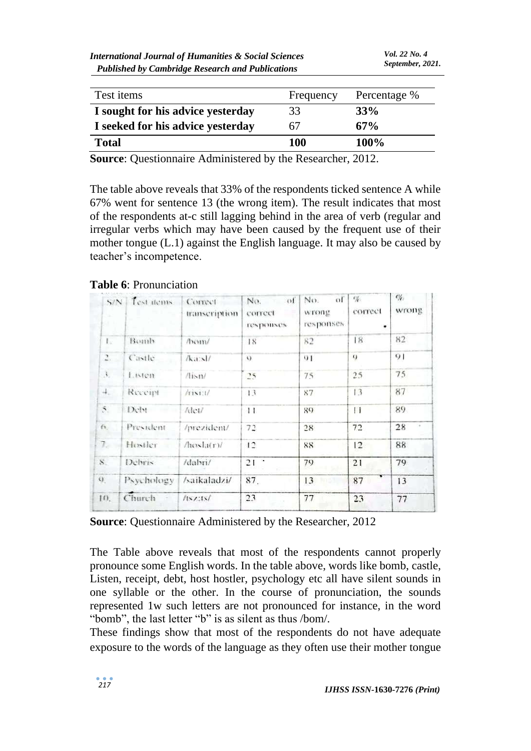| Test items                        | Frequency  | Percentage % |
|-----------------------------------|------------|--------------|
| I sought for his advice yesterday | 33         | 33%          |
| I seeked for his advice yesterday | 67         | 67%          |
| <b>Total</b>                      | <b>100</b> | $100\%$      |

**Source**: Questionnaire Administered by the Researcher, 2012.

The table above reveals that 33% of the respondents ticked sentence A while 67% went for sentence 13 (the wrong item). The result indicates that most of the respondents at-c still lagging behind in the area of verb (regular and irregular verbs which may have been caused by the frequent use of their mother tongue (L.1) against the English language. It may also be caused by teacher's incompetence.

**Table 6**: Pronunciation

| S/N             | Test items | Correct<br>transcription | $\Omega$<br>No.<br>correct<br>responses | $\omega$<br>No.<br>wrong<br>responses | $C_{\rm C}$<br>correct | $c_{\ell}$<br>wrong |
|-----------------|------------|--------------------------|-----------------------------------------|---------------------------------------|------------------------|---------------------|
| $L_{\odot}$     | Bomb       | /bom/                    | 18                                      | 82                                    | 18                     | 82                  |
| $\mathbf{2}$    | Castle     | $/ka$ :sl/               | 01<br>$\cup$                            |                                       | $\mathbf{Q}$           | 91                  |
| X               | Listen     | /lisn/                   | 25                                      | 75                                    | 25                     | 75                  |
| $+$             | Receipt    | $/$ rist:1/              | 13                                      | 87                                    | 13                     | 87                  |
| $\mathcal{S}_-$ | Deht       | /det/                    | 11                                      | 89                                    | $\overline{11}$        | 89                  |
| 6.              | President  | /prezident/              | 72                                      | 28                                    | 72                     | 28                  |
| 7.              | Hostler    | /hosh(r)/                | 12                                      | 88                                    | 12                     | 88                  |
| $S_{-}$         | Debris.    | /dabri/                  | 21                                      | 79                                    | 21                     | 79                  |
| 9.              | Psychology | /saikaladzi/             | 87.                                     | 13                                    | 87                     | 13                  |
| $ 1\rangle$     | Church     | /187.18/                 | 23                                      | 77                                    | 23                     | 77                  |
|                 |            |                          |                                         |                                       |                        |                     |

**Source**: Questionnaire Administered by the Researcher, 2012

The Table above reveals that most of the respondents cannot properly pronounce some English words. In the table above, words like bomb, castle, Listen, receipt, debt, host hostler, psychology etc all have silent sounds in one syllable or the other. In the course of pronunciation, the sounds represented 1w such letters are not pronounced for instance, in the word "bomb", the last letter "b" is as silent as thus /bom/.

These findings show that most of the respondents do not have adequate exposure to the words of the language as they often use their mother tongue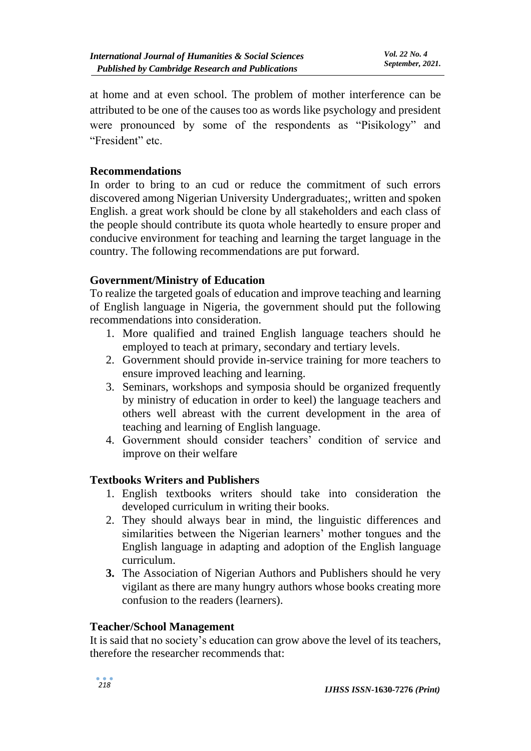at home and at even school. The problem of mother interference can be attributed to be one of the causes too as words like psychology and president were pronounced by some of the respondents as "Pisikology" and "Fresident" etc.

### **Recommendations**

In order to bring to an cud or reduce the commitment of such errors discovered among Nigerian University Undergraduates;, written and spoken English. a great work should be clone by all stakeholders and each class of the people should contribute its quota whole heartedly to ensure proper and conducive environment for teaching and learning the target language in the country. The following recommendations are put forward.

#### **Government/Ministry of Education**

To realize the targeted goals of education and improve teaching and learning of English language in Nigeria, the government should put the following recommendations into consideration.

- 1. More qualified and trained English language teachers should he employed to teach at primary, secondary and tertiary levels.
- 2. Government should provide in-service training for more teachers to ensure improved leaching and learning.
- 3. Seminars, workshops and symposia should be organized frequently by ministry of education in order to keel) the language teachers and others well abreast with the current development in the area of teaching and learning of English language.
- 4. Government should consider teachers' condition of service and improve on their welfare

#### **Textbooks Writers and Publishers**

- 1. English textbooks writers should take into consideration the developed curriculum in writing their books.
- 2. They should always bear in mind, the linguistic differences and similarities between the Nigerian learners' mother tongues and the English language in adapting and adoption of the English language curriculum.
- **3.** The Association of Nigerian Authors and Publishers should he very vigilant as there are many hungry authors whose books creating more confusion to the readers (learners).

#### **Teacher/School Management**

It is said that no society's education can grow above the level of its teachers, therefore the researcher recommends that: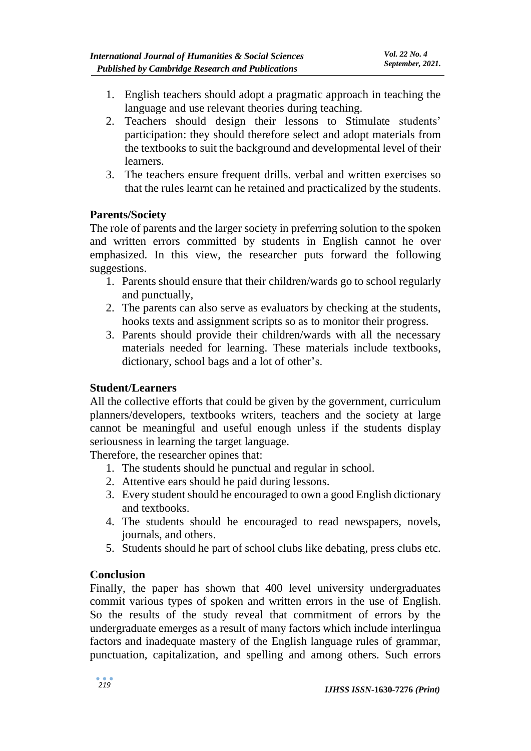- 1. English teachers should adopt a pragmatic approach in teaching the language and use relevant theories during teaching.
- 2. Teachers should design their lessons to Stimulate students' participation: they should therefore select and adopt materials from the textbooks to suit the background and developmental level of their learners.
- 3. The teachers ensure frequent drills. verbal and written exercises so that the rules learnt can he retained and practicalized by the students.

## **Parents/Society**

The role of parents and the larger society in preferring solution to the spoken and written errors committed by students in English cannot he over emphasized. In this view, the researcher puts forward the following suggestions.

- 1. Parents should ensure that their children/wards go to school regularly and punctually,
- 2. The parents can also serve as evaluators by checking at the students, hooks texts and assignment scripts so as to monitor their progress.
- 3. Parents should provide their children/wards with all the necessary materials needed for learning. These materials include textbooks, dictionary, school bags and a lot of other's.

### **Student/Learners**

All the collective efforts that could be given by the government, curriculum planners/developers, textbooks writers, teachers and the society at large cannot be meaningful and useful enough unless if the students display seriousness in learning the target language.

Therefore, the researcher opines that:

- 1. The students should he punctual and regular in school.
- 2. Attentive ears should he paid during lessons.
- 3. Every student should he encouraged to own a good English dictionary and textbooks.
- 4. The students should he encouraged to read newspapers, novels, journals, and others.
- 5. Students should he part of school clubs like debating, press clubs etc.

## **Conclusion**

Finally, the paper has shown that 400 level university undergraduates commit various types of spoken and written errors in the use of English. So the results of the study reveal that commitment of errors by the undergraduate emerges as a result of many factors which include interlingua factors and inadequate mastery of the English language rules of grammar, punctuation, capitalization, and spelling and among others. Such errors